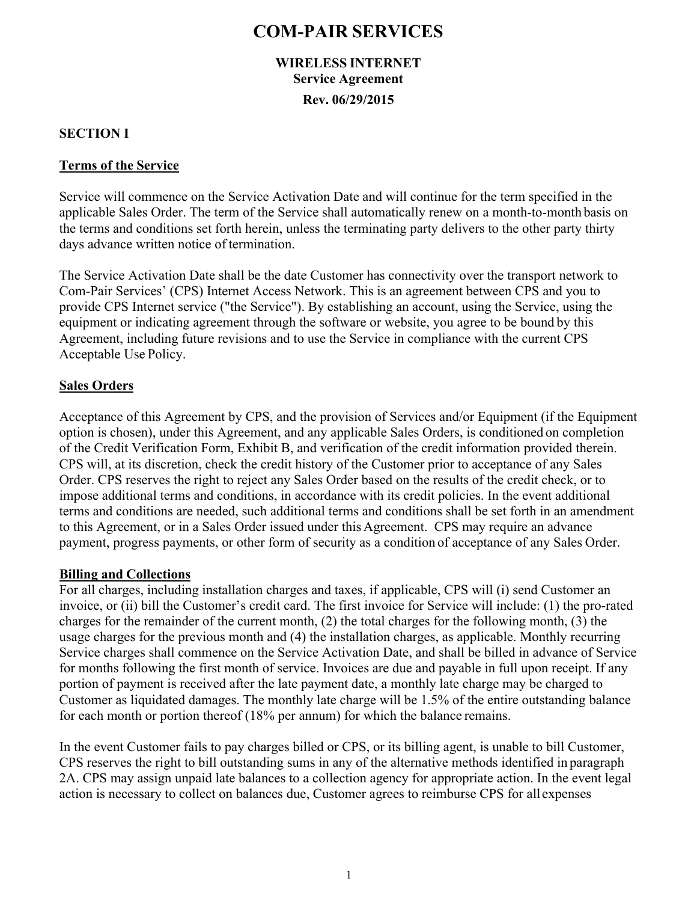## **COM-PAIR SERVICES**

### **WIRELESS INTERNET Service Agreement Rev. 06/29/2015**

#### **SECTION I**

#### **Terms of the Service**

Service will commence on the Service Activation Date and will continue for the term specified in the applicable Sales Order. The term of the Service shall automatically renew on a month-to-month basis on the terms and conditions set forth herein, unless the terminating party delivers to the other party thirty days advance written notice of termination.

The Service Activation Date shall be the date Customer has connectivity over the transport network to Com-Pair Services' (CPS) Internet Access Network. This is an agreement between CPS and you to provide CPS Internet service ("the Service"). By establishing an account, using the Service, using the equipment or indicating agreement through the software or website, you agree to be bound by this Agreement, including future revisions and to use the Service in compliance with the current CPS Acceptable Use Policy.

#### **Sales Orders**

Acceptance of this Agreement by CPS, and the provision of Services and/or Equipment (if the Equipment option is chosen), under this Agreement, and any applicable Sales Orders, is conditioned on completion of the Credit Verification Form, Exhibit B, and verification of the credit information provided therein. CPS will, at its discretion, check the credit history of the Customer prior to acceptance of any Sales Order. CPS reserves the right to reject any Sales Order based on the results of the credit check, or to impose additional terms and conditions, in accordance with its credit policies. In the event additional terms and conditions are needed, such additional terms and conditions shall be set forth in an amendment to this Agreement, or in a Sales Order issued under this Agreement. CPS may require an advance payment, progress payments, or other form of security as a condition of acceptance of any Sales Order.

#### **Billing and Collections**

For all charges, including installation charges and taxes, if applicable, CPS will (i) send Customer an invoice, or (ii) bill the Customer's credit card. The first invoice for Service will include: (1) the pro-rated charges for the remainder of the current month, (2) the total charges for the following month, (3) the usage charges for the previous month and (4) the installation charges, as applicable. Monthly recurring Service charges shall commence on the Service Activation Date, and shall be billed in advance of Service for months following the first month of service. Invoices are due and payable in full upon receipt. If any portion of payment is received after the late payment date, a monthly late charge may be charged to Customer as liquidated damages. The monthly late charge will be 1.5% of the entire outstanding balance for each month or portion thereof (18% per annum) for which the balance remains.

In the event Customer fails to pay charges billed or CPS, or its billing agent, is unable to bill Customer, CPS reserves the right to bill outstanding sums in any of the alternative methods identified in paragraph 2A. CPS may assign unpaid late balances to a collection agency for appropriate action. In the event legal action is necessary to collect on balances due, Customer agrees to reimburse CPS for all expenses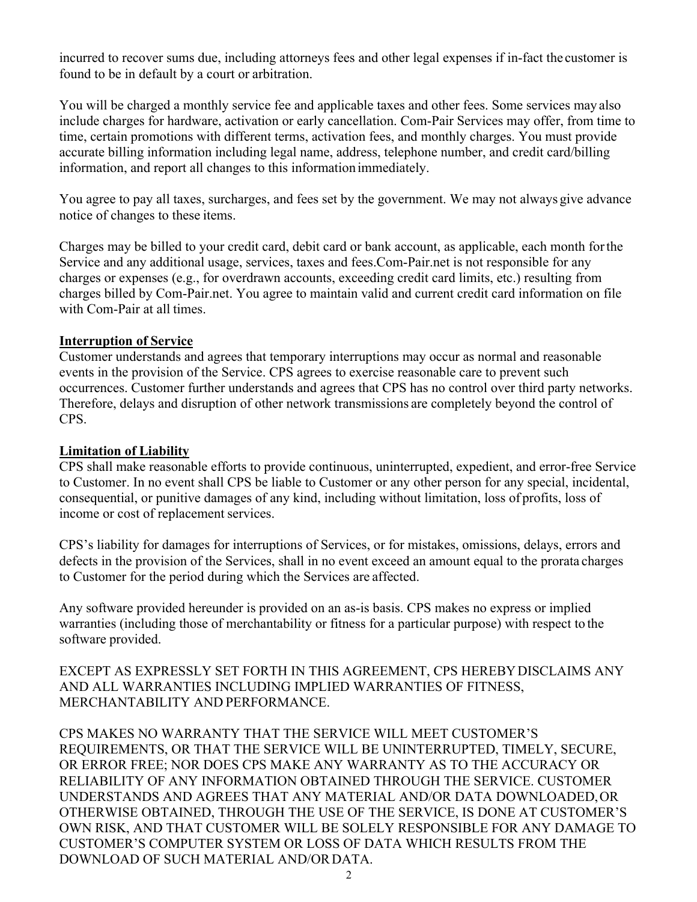incurred to recover sums due, including attorneys fees and other legal expenses if in-fact the customer is found to be in default by a court or arbitration.

You will be charged a monthly service fee and applicable taxes and other fees. Some services may also include charges for hardware, activation or early cancellation. Com-Pair Services may offer, from time to time, certain promotions with different terms, activation fees, and monthly charges. You must provide accurate billing information including legal name, address, telephone number, and credit card/billing information, and report all changes to this information immediately.

You agree to pay all taxes, surcharges, and fees set by the government. We may not always give advance notice of changes to these items.

Charges may be billed to your credit card, debit card or bank account, as applicable, each month for the Service and any additional usage, services, taxes and fees.Com-Pair.net is not responsible for any charges or expenses (e.g., for overdrawn accounts, exceeding credit card limits, etc.) resulting from charges billed by Com-Pair.net. You agree to maintain valid and current credit card information on file with Com-Pair at all times.

#### **Interruption of Service**

Customer understands and agrees that temporary interruptions may occur as normal and reasonable events in the provision of the Service. CPS agrees to exercise reasonable care to prevent such occurrences. Customer further understands and agrees that CPS has no control over third party networks. Therefore, delays and disruption of other network transmissions are completely beyond the control of CPS.

#### **Limitation of Liability**

CPS shall make reasonable efforts to provide continuous, uninterrupted, expedient, and error-free Service to Customer. In no event shall CPS be liable to Customer or any other person for any special, incidental, consequential, or punitive damages of any kind, including without limitation, loss of profits, loss of income or cost of replacement services.

CPS's liability for damages for interruptions of Services, or for mistakes, omissions, delays, errors and defects in the provision of the Services, shall in no event exceed an amount equal to the prorata charges to Customer for the period during which the Services are affected.

Any software provided hereunder is provided on an as-is basis. CPS makes no express or implied warranties (including those of merchantability or fitness for a particular purpose) with respect to the software provided.

EXCEPT AS EXPRESSLY SET FORTH IN THIS AGREEMENT, CPS HEREBY DISCLAIMS ANY AND ALL WARRANTIES INCLUDING IMPLIED WARRANTIES OF FITNESS, MERCHANTABILITY AND PERFORMANCE.

CPS MAKES NO WARRANTY THAT THE SERVICE WILL MEET CUSTOMER'S REQUIREMENTS, OR THAT THE SERVICE WILL BE UNINTERRUPTED, TIMELY, SECURE, OR ERROR FREE; NOR DOES CPS MAKE ANY WARRANTY AS TO THE ACCURACY OR RELIABILITY OF ANY INFORMATION OBTAINED THROUGH THE SERVICE. CUSTOMER UNDERSTANDS AND AGREES THAT ANY MATERIAL AND/OR DATA DOWNLOADED, OR OTHERWISE OBTAINED, THROUGH THE USE OF THE SERVICE, IS DONE AT CUSTOMER'S OWN RISK, AND THAT CUSTOMER WILL BE SOLELY RESPONSIBLE FOR ANY DAMAGE TO CUSTOMER'S COMPUTER SYSTEM OR LOSS OF DATA WHICH RESULTS FROM THE DOWNLOAD OF SUCH MATERIAL AND/OR DATA.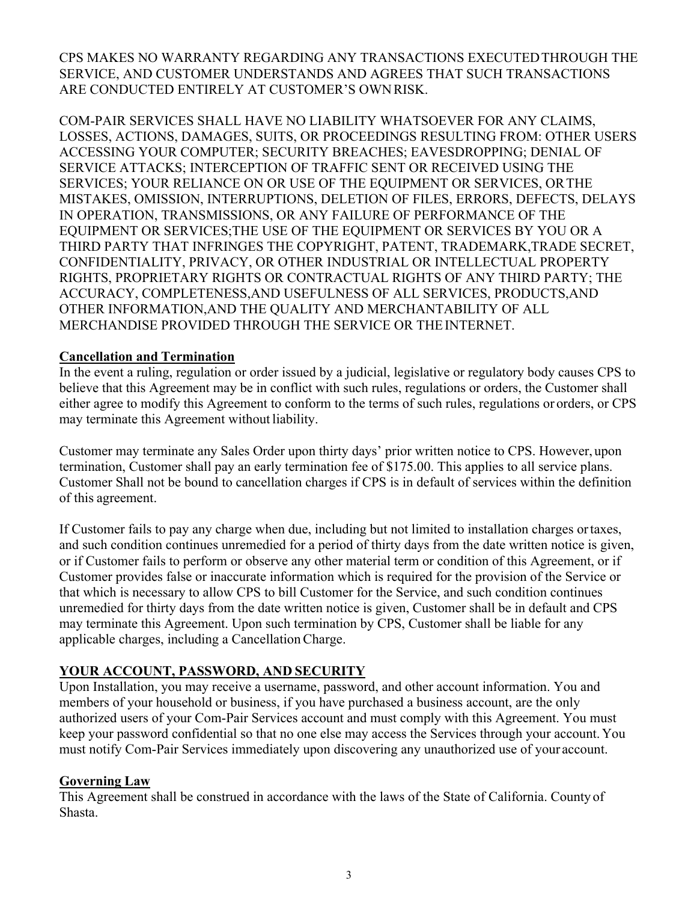CPS MAKES NO WARRANTY REGARDING ANY TRANSACTIONS EXECUTED THROUGH THE SERVICE, AND CUSTOMER UNDERSTANDS AND AGREES THAT SUCH TRANSACTIONS ARE CONDUCTED ENTIRELY AT CUSTOMER'S OWN RISK.

COM-PAIR SERVICES SHALL HAVE NO LIABILITY WHATSOEVER FOR ANY CLAIMS, LOSSES, ACTIONS, DAMAGES, SUITS, OR PROCEEDINGS RESULTING FROM: OTHER USERS ACCESSING YOUR COMPUTER; SECURITY BREACHES; EAVESDROPPING; DENIAL OF SERVICE ATTACKS; INTERCEPTION OF TRAFFIC SENT OR RECEIVED USING THE SERVICES; YOUR RELIANCE ON OR USE OF THE EQUIPMENT OR SERVICES, OR THE MISTAKES, OMISSION, INTERRUPTIONS, DELETION OF FILES, ERRORS, DEFECTS, DELAYS IN OPERATION, TRANSMISSIONS, OR ANY FAILURE OF PERFORMANCE OF THE EQUIPMENT OR SERVICES;THE USE OF THE EQUIPMENT OR SERVICES BY YOU OR A THIRD PARTY THAT INFRINGES THE COPYRIGHT, PATENT, TRADEMARK,TRADE SECRET, CONFIDENTIALITY, PRIVACY, OR OTHER INDUSTRIAL OR INTELLECTUAL PROPERTY RIGHTS, PROPRIETARY RIGHTS OR CONTRACTUAL RIGHTS OF ANY THIRD PARTY; THE ACCURACY, COMPLETENESS,AND USEFULNESS OF ALL SERVICES, PRODUCTS,AND OTHER INFORMATION,AND THE QUALITY AND MERCHANTABILITY OF ALL MERCHANDISE PROVIDED THROUGH THE SERVICE OR THE INTERNET.

#### **Cancellation and Termination**

In the event a ruling, regulation or order issued by a judicial, legislative or regulatory body causes CPS to believe that this Agreement may be in conflict with such rules, regulations or orders, the Customer shall either agree to modify this Agreement to conform to the terms of such rules, regulations or orders, or CPS may terminate this Agreement without liability.

Customer may terminate any Sales Order upon thirty days' prior written notice to CPS. However, upon termination, Customer shall pay an early termination fee of \$175.00. This applies to all service plans. Customer Shall not be bound to cancellation charges if CPS is in default of services within the definition of this agreement.

If Customer fails to pay any charge when due, including but not limited to installation charges or taxes, and such condition continues unremedied for a period of thirty days from the date written notice is given, or if Customer fails to perform or observe any other material term or condition of this Agreement, or if Customer provides false or inaccurate information which is required for the provision of the Service or that which is necessary to allow CPS to bill Customer for the Service, and such condition continues unremedied for thirty days from the date written notice is given, Customer shall be in default and CPS may terminate this Agreement. Upon such termination by CPS, Customer shall be liable for any applicable charges, including a Cancellation Charge.

#### **YOUR ACCOUNT, PASSWORD, AND SECURITY**

Upon Installation, you may receive a username, password, and other account information. You and members of your household or business, if you have purchased a business account, are the only authorized users of your Com-Pair Services account and must comply with this Agreement. You must keep your password confidential so that no one else may access the Services through your account. You must notify Com-Pair Services immediately upon discovering any unauthorized use of your account.

#### **Governing Law**

This Agreement shall be construed in accordance with the laws of the State of California. County of Shasta.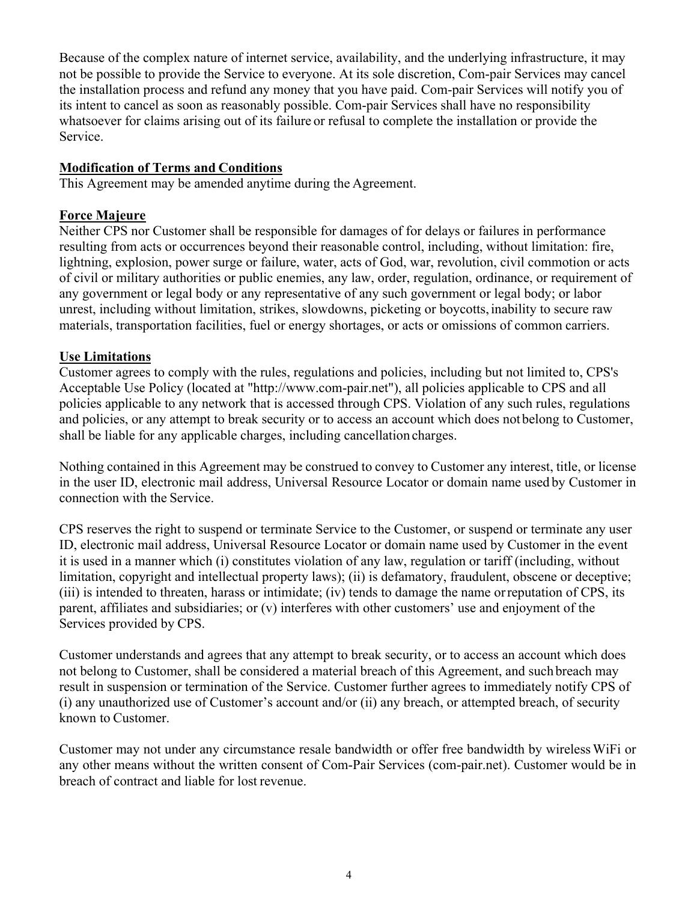Because of the complex nature of internet service, availability, and the underlying infrastructure, it may not be possible to provide the Service to everyone. At its sole discretion, Com-pair Services may cancel the installation process and refund any money that you have paid. Com-pair Services will notify you of its intent to cancel as soon as reasonably possible. Com-pair Services shall have no responsibility whatsoever for claims arising out of its failure or refusal to complete the installation or provide the Service.

#### **Modification of Terms and Conditions**

This Agreement may be amended anytime during the Agreement.

#### **Force Majeure**

Neither CPS nor Customer shall be responsible for damages of for delays or failures in performance resulting from acts or occurrences beyond their reasonable control, including, without limitation: fire, lightning, explosion, power surge or failure, water, acts of God, war, revolution, civil commotion or acts of civil or military authorities or public enemies, any law, order, regulation, ordinance, or requirement of any government or legal body or any representative of any such government or legal body; or labor unrest, including without limitation, strikes, slowdowns, picketing or boycotts, inability to secure raw materials, transportation facilities, fuel or energy shortages, or acts or omissions of common carriers.

#### **Use Limitations**

Customer agrees to comply with the rules, regulations and policies, including but not limited to, CPS's Acceptable Use Policy (located at "http://www.com-pair.net"), all policies applicable to CPS and all policies applicable to any network that is accessed through CPS. Violation of any such rules, regulations and policies, or any attempt to break security or to access an account which does not belong to Customer, shall be liable for any applicable charges, including cancellation charges.

Nothing contained in this Agreement may be construed to convey to Customer any interest, title, or license in the user ID, electronic mail address, Universal Resource Locator or domain name used by Customer in connection with the Service.

CPS reserves the right to suspend or terminate Service to the Customer, or suspend or terminate any user ID, electronic mail address, Universal Resource Locator or domain name used by Customer in the event it is used in a manner which (i) constitutes violation of any law, regulation or tariff (including, without limitation, copyright and intellectual property laws); (ii) is defamatory, fraudulent, obscene or deceptive; (iii) is intended to threaten, harass or intimidate; (iv) tends to damage the name or reputation of CPS, its parent, affiliates and subsidiaries; or (v) interferes with other customers' use and enjoyment of the Services provided by CPS.

Customer understands and agrees that any attempt to break security, or to access an account which does not belong to Customer, shall be considered a material breach of this Agreement, and such breach may result in suspension or termination of the Service. Customer further agrees to immediately notify CPS of (i) any unauthorized use of Customer's account and/or (ii) any breach, or attempted breach, of security known to Customer.

Customer may not under any circumstance resale bandwidth or offer free bandwidth by wireless WiFi or any other means without the written consent of Com-Pair Services (com-pair.net). Customer would be in breach of contract and liable for lost revenue.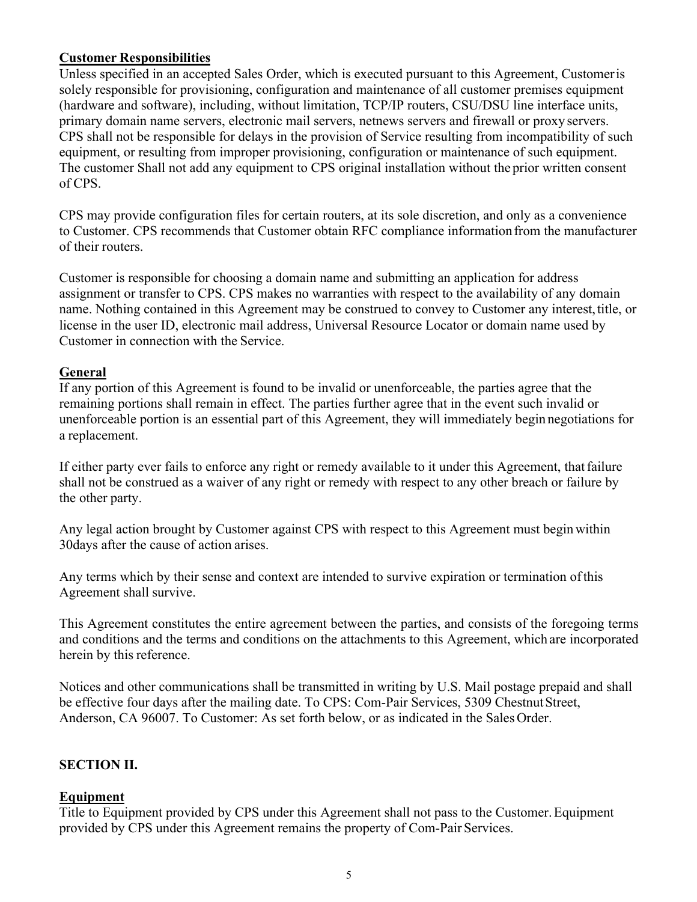#### **Customer Responsibilities**

Unless specified in an accepted Sales Order, which is executed pursuant to this Agreement, Customer is solely responsible for provisioning, configuration and maintenance of all customer premises equipment (hardware and software), including, without limitation, TCP/IP routers, CSU/DSU line interface units, primary domain name servers, electronic mail servers, netnews servers and firewall or proxy servers. CPS shall not be responsible for delays in the provision of Service resulting from incompatibility of such equipment, or resulting from improper provisioning, configuration or maintenance of such equipment. The customer Shall not add any equipment to CPS original installation without the prior written consent of CPS.

CPS may provide configuration files for certain routers, at its sole discretion, and only as a convenience to Customer. CPS recommends that Customer obtain RFC compliance information from the manufacturer of their routers.

Customer is responsible for choosing a domain name and submitting an application for address assignment or transfer to CPS. CPS makes no warranties with respect to the availability of any domain name. Nothing contained in this Agreement may be construed to convey to Customer any interest, title, or license in the user ID, electronic mail address, Universal Resource Locator or domain name used by Customer in connection with the Service.

#### **General**

If any portion of this Agreement is found to be invalid or unenforceable, the parties agree that the remaining portions shall remain in effect. The parties further agree that in the event such invalid or unenforceable portion is an essential part of this Agreement, they will immediately begin negotiations for a replacement.

If either party ever fails to enforce any right or remedy available to it under this Agreement, that failure shall not be construed as a waiver of any right or remedy with respect to any other breach or failure by the other party.

Any legal action brought by Customer against CPS with respect to this Agreement must begin within 30days after the cause of action arises.

Any terms which by their sense and context are intended to survive expiration or termination of this Agreement shall survive.

This Agreement constitutes the entire agreement between the parties, and consists of the foregoing terms and conditions and the terms and conditions on the attachments to this Agreement, which are incorporated herein by this reference.

Notices and other communications shall be transmitted in writing by U.S. Mail postage prepaid and shall be effective four days after the mailing date. To CPS: Com-Pair Services, 5309 Chestnut Street, Anderson, CA 96007. To Customer: As set forth below, or as indicated in the Sales Order.

#### **SECTION II.**

#### **Equipment**

Title to Equipment provided by CPS under this Agreement shall not pass to the Customer. Equipment provided by CPS under this Agreement remains the property of Com-Pair Services.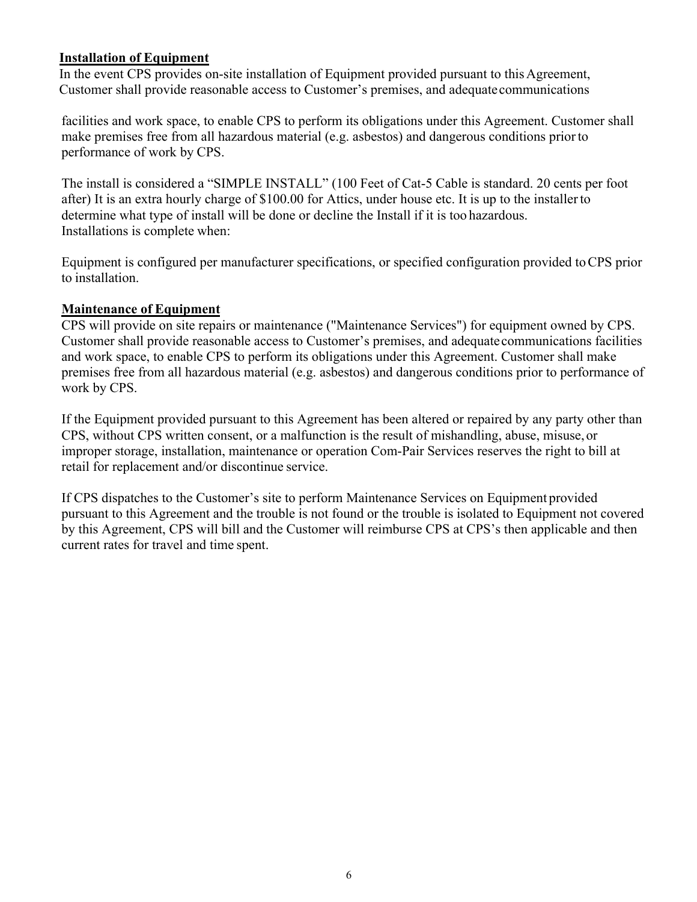#### **Installation of Equipment**

In the event CPS provides on-site installation of Equipment provided pursuant to this Agreement, Customer shall provide reasonable access to Customer's premises, and adequate communications

facilities and work space, to enable CPS to perform its obligations under this Agreement. Customer shall make premises free from all hazardous material (e.g. asbestos) and dangerous conditions prior to performance of work by CPS.

The install is considered a "SIMPLE INSTALL" (100 Feet of Cat-5 Cable is standard. 20 cents per foot after) It is an extra hourly charge of \$100.00 for Attics, under house etc. It is up to the installer to determine what type of install will be done or decline the Install if it is too hazardous. Installations is complete when:

Equipment is configured per manufacturer specifications, or specified configuration provided to CPS prior to installation.

#### **Maintenance of Equipment**

CPS will provide on site repairs or maintenance ("Maintenance Services") for equipment owned by CPS. Customer shall provide reasonable access to Customer's premises, and adequate communications facilities and work space, to enable CPS to perform its obligations under this Agreement. Customer shall make premises free from all hazardous material (e.g. asbestos) and dangerous conditions prior to performance of work by CPS.

If the Equipment provided pursuant to this Agreement has been altered or repaired by any party other than CPS, without CPS written consent, or a malfunction is the result of mishandling, abuse, misuse, or improper storage, installation, maintenance or operation Com-Pair Services reserves the right to bill at retail for replacement and/or discontinue service.

If CPS dispatches to the Customer's site to perform Maintenance Services on Equipment provided pursuant to this Agreement and the trouble is not found or the trouble is isolated to Equipment not covered by this Agreement, CPS will bill and the Customer will reimburse CPS at CPS's then applicable and then current rates for travel and time spent.